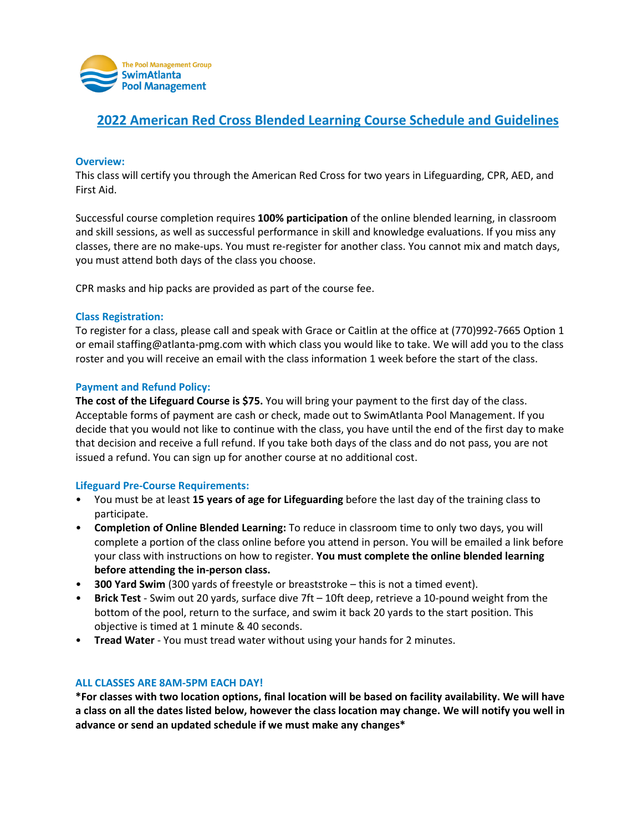

# **2022 American Red Cross Blended Learning Course Schedule and Guidelines**

## **Overview:**

This class will certify you through the American Red Cross for two years in Lifeguarding, CPR, AED, and First Aid.

Successful course completion requires **100% participation** of the online blended learning, in classroom and skill sessions, as well as successful performance in skill and knowledge evaluations. If you miss any classes, there are no make-ups. You must re-register for another class. You cannot mix and match days, you must attend both days of the class you choose.

CPR masks and hip packs are provided as part of the course fee.

## **Class Registration:**

To register for a class, please call and speak with Grace or Caitlin at the office at (770)992-7665 Option 1 or email staffing@atlanta-pmg.com with which class you would like to take. We will add you to the class roster and you will receive an email with the class information 1 week before the start of the class.

#### **Payment and Refund Policy:**

**The cost of the Lifeguard Course is \$75.** You will bring your payment to the first day of the class. Acceptable forms of payment are cash or check, made out to SwimAtlanta Pool Management. If you decide that you would not like to continue with the class, you have until the end of the first day to make that decision and receive a full refund. If you take both days of the class and do not pass, you are not issued a refund. You can sign up for another course at no additional cost.

## **Lifeguard Pre-Course Requirements:**

- You must be at least **15 years of age for Lifeguarding** before the last day of the training class to participate.
- **Completion of Online Blended Learning:** To reduce in classroom time to only two days, you will complete a portion of the class online before you attend in person. You will be emailed a link before your class with instructions on how to register. **You must complete the online blended learning before attending the in-person class.**
- **300 Yard Swim** (300 yards of freestyle or breaststroke this is not a timed event).
- **Brick Test**  Swim out 20 yards, surface dive 7ft 10ft deep, retrieve a 10-pound weight from the bottom of the pool, return to the surface, and swim it back 20 yards to the start position. This objective is timed at 1 minute & 40 seconds.
- **Tread Water**  You must tread water without using your hands for 2 minutes.

## **ALL CLASSES ARE 8AM-5PM EACH DAY!**

**\*For classes with two location options, final location will be based on facility availability. We will have a class on all the dates listed below, however the class location may change. We will notify you well in advance or send an updated schedule if we must make any changes\***